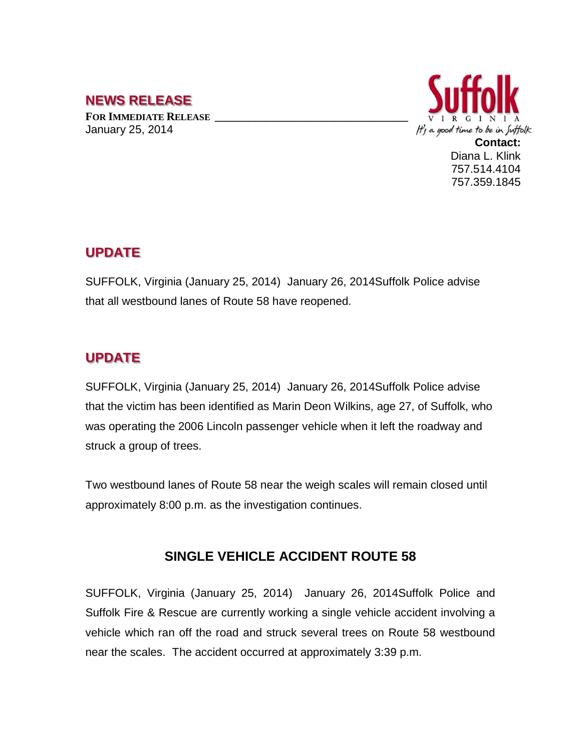## **NEWS RELEASE**

**FOR IMMEDIATE RELEASE \_\_\_\_\_\_\_\_\_\_\_\_\_\_\_\_\_\_\_\_\_\_\_\_\_\_\_\_\_\_\_\_\_\_** January 25, 2014



757.514.4104 757.359.1845

## **UPDATE**

SUFFOLK, Virginia (January 25, 2014) January 26, 2014Suffolk Police advise that all westbound lanes of Route 58 have reopened.

## **UPDATE**

SUFFOLK, Virginia (January 25, 2014) January 26, 2014Suffolk Police advise that the victim has been identified as Marin Deon Wilkins, age 27, of Suffolk, who was operating the 2006 Lincoln passenger vehicle when it left the roadway and struck a group of trees.

Two westbound lanes of Route 58 near the weigh scales will remain closed until approximately 8:00 p.m. as the investigation continues.

## **SINGLE VEHICLE ACCIDENT ROUTE 58**

SUFFOLK, Virginia (January 25, 2014) January 26, 2014Suffolk Police and Suffolk Fire & Rescue are currently working a single vehicle accident involving a vehicle which ran off the road and struck several trees on Route 58 westbound near the scales. The accident occurred at approximately 3:39 p.m.